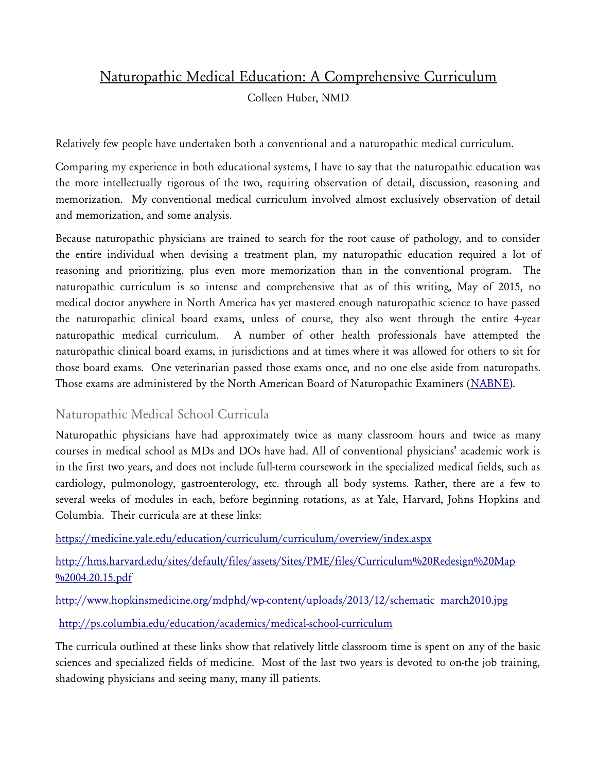# Naturopathic Medical Education: A Comprehensive Curriculum

Colleen Huber, NMD

Relatively few people have undertaken both a conventional and a naturopathic medical curriculum.

Comparing my experience in both educational systems, I have to say that the naturopathic education was the more intellectually rigorous of the two, requiring observation of detail, discussion, reasoning and memorization. My conventional medical curriculum involved almost exclusively observation of detail and memorization, and some analysis.

Because naturopathic physicians are trained to search for the root cause of pathology, and to consider the entire individual when devising a treatment plan, my naturopathic education required a lot of reasoning and prioritizing, plus even more memorization than in the conventional program. The naturopathic curriculum is so intense and comprehensive that as of this writing, May of 2015, no medical doctor anywhere in North America has yet mastered enough naturopathic science to have passed the naturopathic clinical board exams, unless of course, they also went through the entire 4-year naturopathic medical curriculum. A number of other health professionals have attempted the naturopathic clinical board exams, in jurisdictions and at times where it was allowed for others to sit for those board exams. One veterinarian passed those exams once, and no one else aside from naturopaths. Those exams are administered by the North American Board of Naturopathic Examiners [\(NABNE\)](https://www.nabne.org/home/).

## Naturopathic Medical School Curricula

Naturopathic physicians have had approximately twice as many classroom hours and twice as many courses in medical school as MDs and DOs have had. All of conventional physicians' academic work is in the first two years, and does not include full-term coursework in the specialized medical fields, such as cardiology, pulmonology, gastroenterology, etc. through all body systems. Rather, there are a few to several weeks of modules in each, before beginning rotations, as at Yale, Harvard, Johns Hopkins and Columbia. Their curricula are at these links:

<https://medicine.yale.edu/education/curriculum/curriculum/overview/index.aspx>

[http://hms.harvard.edu/sites/default/files/assets/Sites/PME/files/Curriculum%20Redesign%20Map](http://hms.harvard.edu/sites/default/files/assets/Sites/PME/files/Curriculum%20Redesign%20Map%2004.20.15.pdf) [%2004.20.15.pdf](http://hms.harvard.edu/sites/default/files/assets/Sites/PME/files/Curriculum%20Redesign%20Map%2004.20.15.pdf)

[http://www.hopkinsmedicine.org/mdphd/wp-content/uploads/2013/12/schematic\\_march2010.jpg](http://www.hopkinsmedicine.org/mdphd/wp-content/uploads/2013/12/schematic_march2010.jpg)

<http://ps.columbia.edu/education/academics/medical-school-curriculum>

The curricula outlined at these links show that relatively little classroom time is spent on any of the basic sciences and specialized fields of medicine. Most of the last two years is devoted to on-the job training, shadowing physicians and seeing many, many ill patients.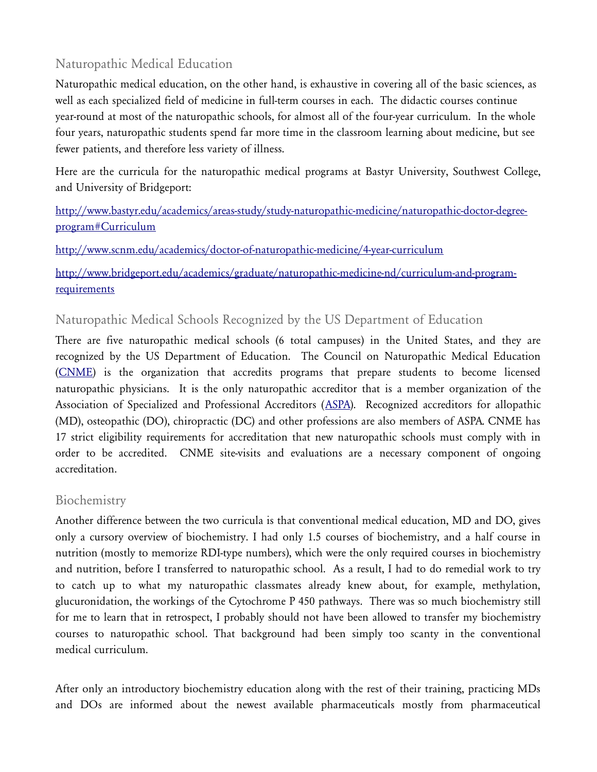## Naturopathic Medical Education

Naturopathic medical education, on the other hand, is exhaustive in covering all of the basic sciences, as well as each specialized field of medicine in full-term courses in each. The didactic courses continue year-round at most of the naturopathic schools, for almost all of the four-year curriculum. In the whole four years, naturopathic students spend far more time in the classroom learning about medicine, but see fewer patients, and therefore less variety of illness.

Here are the curricula for the naturopathic medical programs at Bastyr University, Southwest College, and University of Bridgeport:

### [http://www.bastyr.edu/academics/areas-study/study-naturopathic-medicine/naturopathic-doctor-degree](http://www.bastyr.edu/academics/areas-study/study-naturopathic-medicine/naturopathic-doctor-degree-program#Curriculum)[program#Curriculum](http://www.bastyr.edu/academics/areas-study/study-naturopathic-medicine/naturopathic-doctor-degree-program#Curriculum)

<http://www.scnm.edu/academics/doctor-of-naturopathic-medicine/4-year-curriculum>

[http://www.bridgeport.edu/academics/graduate/naturopathic-medicine-nd/curriculum-and-program](http://www.bridgeport.edu/academics/graduate/naturopathic-medicine-nd/curriculum-and-program-requirements)[requirements](http://www.bridgeport.edu/academics/graduate/naturopathic-medicine-nd/curriculum-and-program-requirements)

### Naturopathic Medical Schools Recognized by the US Department of Education

There are five naturopathic medical schools (6 total campuses) in the United States, and they are recognized by the US Department of Education. The Council on Naturopathic Medical Education [\(CNME\)](http://www.cnme.org/) is the organization that accredits programs that prepare students to become licensed naturopathic physicians. It is the only naturopathic accreditor that is a member organization of the Association of Specialized and Professional Accreditors ([ASPA\)](http://www.aspa-usa.org/). Recognized accreditors for allopathic (MD), osteopathic (DO), chiropractic (DC) and other professions are also members of ASPA. CNME has 17 strict eligibility requirements for accreditation that new naturopathic schools must comply with in order to be accredited. CNME site-visits and evaluations are a necessary component of ongoing accreditation.

### Biochemistry

Another difference between the two curricula is that conventional medical education, MD and DO, gives only a cursory overview of biochemistry. I had only 1.5 courses of biochemistry, and a half course in nutrition (mostly to memorize RDI-type numbers), which were the only required courses in biochemistry and nutrition, before I transferred to naturopathic school. As a result, I had to do remedial work to try to catch up to what my naturopathic classmates already knew about, for example, methylation, glucuronidation, the workings of the Cytochrome P 450 pathways. There was so much biochemistry still for me to learn that in retrospect, I probably should not have been allowed to transfer my biochemistry courses to naturopathic school. That background had been simply too scanty in the conventional medical curriculum.

After only an introductory biochemistry education along with the rest of their training, practicing MDs and DOs are informed about the newest available pharmaceuticals mostly from pharmaceutical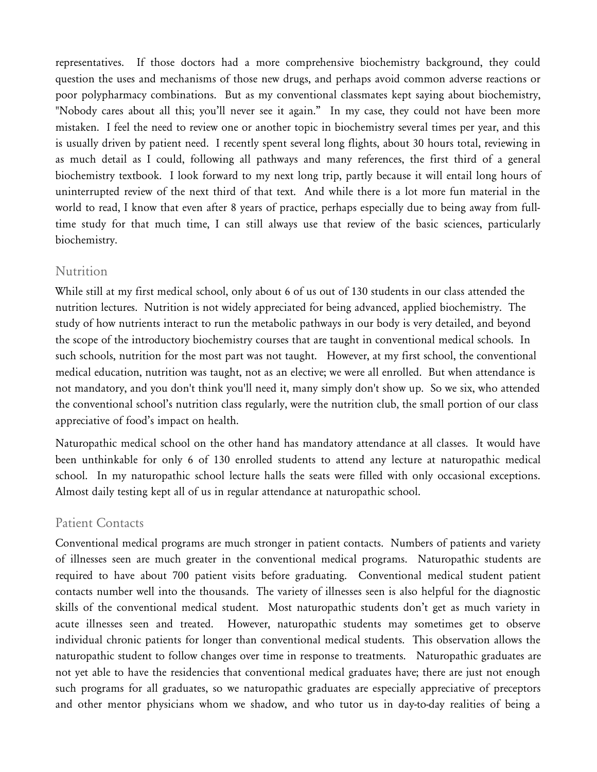representatives. If those doctors had a more comprehensive biochemistry background, they could question the uses and mechanisms of those new drugs, and perhaps avoid common adverse reactions or poor polypharmacy combinations. But as my conventional classmates kept saying about biochemistry, "Nobody cares about all this; you'll never see it again." In my case, they could not have been more mistaken. I feel the need to review one or another topic in biochemistry several times per year, and this is usually driven by patient need. I recently spent several long flights, about 30 hours total, reviewing in as much detail as I could, following all pathways and many references, the first third of a general biochemistry textbook. I look forward to my next long trip, partly because it will entail long hours of uninterrupted review of the next third of that text. And while there is a lot more fun material in the world to read, I know that even after 8 years of practice, perhaps especially due to being away from fulltime study for that much time, I can still always use that review of the basic sciences, particularly biochemistry.

#### **Nutrition**

While still at my first medical school, only about 6 of us out of 130 students in our class attended the nutrition lectures. Nutrition is not widely appreciated for being advanced, applied biochemistry. The study of how nutrients interact to run the metabolic pathways in our body is very detailed, and beyond the scope of the introductory biochemistry courses that are taught in conventional medical schools. In such schools, nutrition for the most part was not taught. However, at my first school, the conventional medical education, nutrition was taught, not as an elective; we were all enrolled. But when attendance is not mandatory, and you don't think you'll need it, many simply don't show up. So we six, who attended the conventional school's nutrition class regularly, were the nutrition club, the small portion of our class appreciative of food's impact on health.

Naturopathic medical school on the other hand has mandatory attendance at all classes. It would have been unthinkable for only 6 of 130 enrolled students to attend any lecture at naturopathic medical school. In my naturopathic school lecture halls the seats were filled with only occasional exceptions. Almost daily testing kept all of us in regular attendance at naturopathic school.

#### Patient Contacts

Conventional medical programs are much stronger in patient contacts. Numbers of patients and variety of illnesses seen are much greater in the conventional medical programs. Naturopathic students are required to have about 700 patient visits before graduating. Conventional medical student patient contacts number well into the thousands. The variety of illnesses seen is also helpful for the diagnostic skills of the conventional medical student. Most naturopathic students don't get as much variety in acute illnesses seen and treated. However, naturopathic students may sometimes get to observe individual chronic patients for longer than conventional medical students. This observation allows the naturopathic student to follow changes over time in response to treatments. Naturopathic graduates are not yet able to have the residencies that conventional medical graduates have; there are just not enough such programs for all graduates, so we naturopathic graduates are especially appreciative of preceptors and other mentor physicians whom we shadow, and who tutor us in day-to-day realities of being a